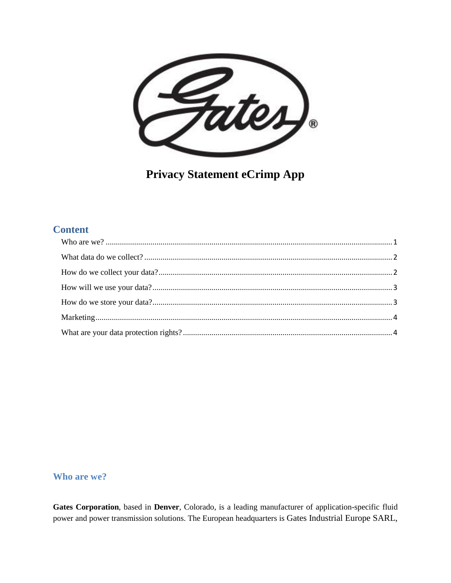

**Privacy Statement eCrimp App** 

# **Content**

#### <span id="page-0-0"></span>Who are we?

Gates Corporation, based in Denver, Colorado, is a leading manufacturer of application-specific fluid power and power transmission solutions. The European headquarters is Gates Industrial Europe SARL,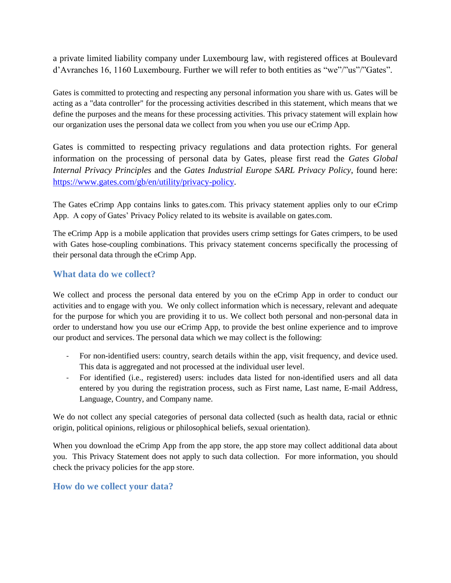a private limited liability company under Luxembourg law, with registered offices at Boulevard d'Avranches 16, 1160 Luxembourg. Further we will refer to both entities as "we"/"us"/"Gates".

Gates is committed to protecting and respecting any personal information you share with us. Gates will be acting as a "data controller" for the processing activities described in this statement, which means that we define the purposes and the means for these processing activities. This privacy statement will explain how our organization uses the personal data we collect from you when you use our eCrimp App.

Gates is committed to respecting privacy regulations and data protection rights. For general information on the processing of personal data by Gates, please first read the *Gates Global Internal Privacy Principles* and the *Gates Industrial Europe SARL Privacy Policy*, found here: [https://www.gates.com/gb/en/utility/privacy-policy.](https://www.gates.com/gb/en/utility/privacy-policy)

The Gates eCrimp App contains links to gates.com. This privacy statement applies only to our eCrimp App. A copy of Gates' Privacy Policy related to its website is available on gates.com.

The eCrimp App is a mobile application that provides users crimp settings for Gates crimpers, to be used with Gates hose-coupling combinations. This privacy statement concerns specifically the processing of their personal data through the eCrimp App.

#### <span id="page-1-0"></span>**What data do we collect?**

We collect and process the personal data entered by you on the eCrimp App in order to conduct our activities and to engage with you. We only collect information which is necessary, relevant and adequate for the purpose for which you are providing it to us. We collect both personal and non-personal data in order to understand how you use our eCrimp App, to provide the best online experience and to improve our product and services. The personal data which we may collect is the following:

- For non-identified users: country, search details within the app, visit frequency, and device used. This data is aggregated and not processed at the individual user level.
- For identified (i.e., registered) users: includes data listed for non-identified users and all data entered by you during the registration process, such as First name, Last name, E-mail Address, Language, Country, and Company name.

We do not collect any special categories of personal data collected (such as health data, racial or ethnic origin, political opinions, religious or philosophical beliefs, sexual orientation).

When you download the eCrimp App from the app store, the app store may collect additional data about you. This Privacy Statement does not apply to such data collection. For more information, you should check the privacy policies for the app store.

#### <span id="page-1-1"></span>**How do we collect your data?**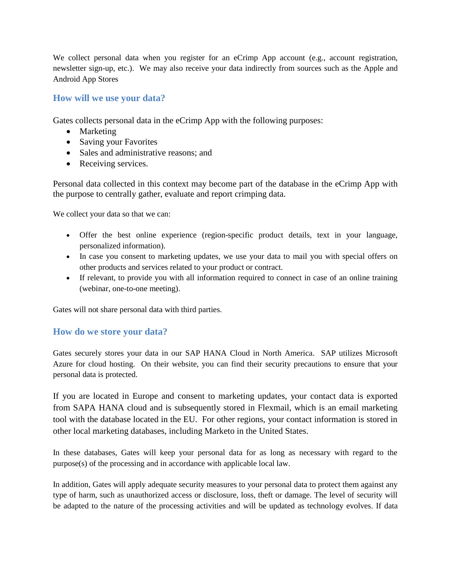We collect personal data when you register for an eCrimp App account (e.g., account registration, newsletter sign-up, etc.). We may also receive your data indirectly from sources such as the Apple and Android App Stores

### <span id="page-2-0"></span>**How will we use your data?**

Gates collects personal data in the eCrimp App with the following purposes:

- Marketing
- Saving your Favorites
- Sales and administrative reasons; and
- Receiving services.

Personal data collected in this context may become part of the database in the eCrimp App with the purpose to centrally gather, evaluate and report crimping data.

We collect your data so that we can:

- Offer the best online experience (region-specific product details, text in your language, personalized information).
- In case you consent to marketing updates, we use your data to mail you with special offers on other products and services related to your product or contract.
- If relevant, to provide you with all information required to connect in case of an online training (webinar, one-to-one meeting).

Gates will not share personal data with third parties.

#### <span id="page-2-1"></span>**How do we store your data?**

Gates securely stores your data in our SAP HANA Cloud in North America. SAP utilizes Microsoft Azure for cloud hosting. On their website, you can find their security precautions to ensure that your personal data is protected.

If you are located in Europe and consent to marketing updates, your contact data is exported from SAPA HANA cloud and is subsequently stored in Flexmail, which is an email marketing tool with the database located in the EU. For other regions, your contact information is stored in other local marketing databases, including Marketo in the United States.

In these databases, Gates will keep your personal data for as long as necessary with regard to the purpose(s) of the processing and in accordance with applicable local law.

In addition, Gates will apply adequate security measures to your personal data to protect them against any type of harm, such as unauthorized access or disclosure, loss, theft or damage. The level of security will be adapted to the nature of the processing activities and will be updated as technology evolves. If data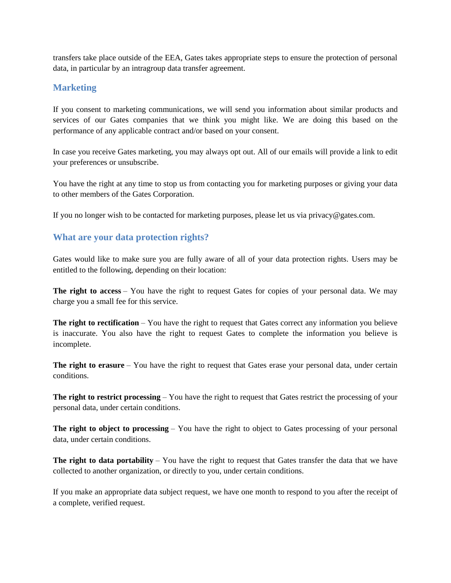transfers take place outside of the EEA, Gates takes appropriate steps to ensure the protection of personal data, in particular by an intragroup data transfer agreement.

#### <span id="page-3-0"></span>**Marketing**

If you consent to marketing communications, we will send you information about similar products and services of our Gates companies that we think you might like. We are doing this based on the performance of any applicable contract and/or based on your consent.

In case you receive Gates marketing, you may always opt out. All of our emails will provide a link to edit your preferences or unsubscribe.

You have the right at any time to stop us from contacting you for marketing purposes or giving your data to other members of the Gates Corporation.

If you no longer wish to be contacted for marketing purposes, please let us via privacy  $\mathcal{Q}$  gates.com.

## <span id="page-3-1"></span>**What are your data protection rights?**

Gates would like to make sure you are fully aware of all of your data protection rights. Users may be entitled to the following, depending on their location:

**The right to access** – You have the right to request Gates for copies of your personal data. We may charge you a small fee for this service.

**The right to rectification** – You have the right to request that Gates correct any information you believe is inaccurate. You also have the right to request Gates to complete the information you believe is incomplete.

**The right to erasure** – You have the right to request that Gates erase your personal data, under certain conditions.

**The right to restrict processing** – You have the right to request that Gates restrict the processing of your personal data, under certain conditions.

**The right to object to processing** – You have the right to object to Gates processing of your personal data, under certain conditions.

**The right to data portability** – You have the right to request that Gates transfer the data that we have collected to another organization, or directly to you, under certain conditions.

If you make an appropriate data subject request, we have one month to respond to you after the receipt of a complete, verified request.